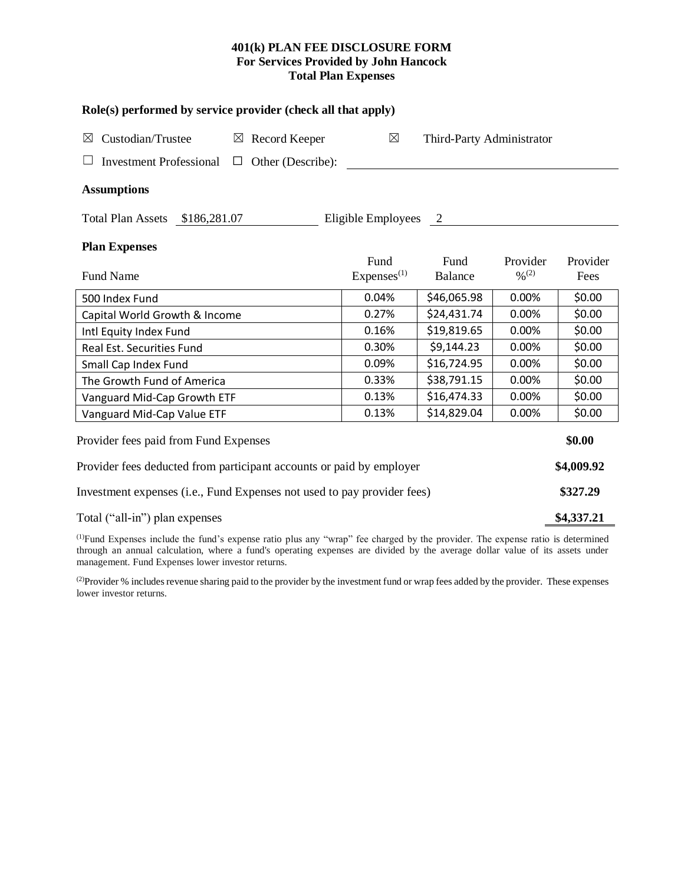# **401(k) PLAN FEE DISCLOSURE FORM For Services Provided by John Hancock Total Plan Expenses**

| Role(s) performed by service provider (check all that apply)            |                                |                           |                                          |                  |  |  |  |  |  |
|-------------------------------------------------------------------------|--------------------------------|---------------------------|------------------------------------------|------------------|--|--|--|--|--|
| Custodian/Trustee<br>$\boxtimes$ Record Keeper<br>⊠                     | $\boxtimes$                    | Third-Party Administrator |                                          |                  |  |  |  |  |  |
| <b>Investment Professional</b><br>Other (Describe):<br>$\Box$           |                                |                           |                                          |                  |  |  |  |  |  |
| <b>Assumptions</b>                                                      |                                |                           |                                          |                  |  |  |  |  |  |
| Total Plan Assets \$186,281.07                                          | Eligible Employees             | $\overline{2}$            |                                          |                  |  |  |  |  |  |
| <b>Plan Expenses</b>                                                    |                                |                           |                                          |                  |  |  |  |  |  |
| <b>Fund Name</b>                                                        | Fund<br>Express <sup>(1)</sup> | Fund<br><b>Balance</b>    | Provider<br>$\frac{0}{2}$ <sup>(2)</sup> | Provider<br>Fees |  |  |  |  |  |
| 500 Index Fund                                                          | 0.04%                          | \$46,065.98               | 0.00%                                    | \$0.00           |  |  |  |  |  |
| Capital World Growth & Income                                           | 0.27%                          | \$24,431.74               | 0.00%                                    | \$0.00           |  |  |  |  |  |
| Intl Equity Index Fund                                                  | 0.16%                          | \$19,819.65               | 0.00%                                    | \$0.00           |  |  |  |  |  |
| Real Est. Securities Fund                                               | 0.30%                          | \$9,144.23                | 0.00%                                    | \$0.00           |  |  |  |  |  |
| Small Cap Index Fund                                                    | 0.09%                          | \$16,724.95               | 0.00%                                    | \$0.00           |  |  |  |  |  |
| The Growth Fund of America                                              | 0.33%                          | \$38,791.15               | 0.00%                                    | \$0.00           |  |  |  |  |  |
| Vanguard Mid-Cap Growth ETF                                             | 0.13%                          | \$16,474.33               | 0.00%                                    | \$0.00           |  |  |  |  |  |
| Vanguard Mid-Cap Value ETF                                              | 0.13%                          | \$14,829.04               | 0.00%                                    | \$0.00           |  |  |  |  |  |
| Provider fees paid from Fund Expenses                                   |                                |                           |                                          | \$0.00           |  |  |  |  |  |
| Provider fees deducted from participant accounts or paid by employer    |                                |                           |                                          |                  |  |  |  |  |  |
| Investment expenses (i.e., Fund Expenses not used to pay provider fees) |                                |                           |                                          |                  |  |  |  |  |  |
| Total ("all-in") plan expenses                                          |                                |                           |                                          |                  |  |  |  |  |  |

(1)Fund Expenses include the fund's expense ratio plus any "wrap" fee charged by the provider. The expense ratio is determined through an annual calculation, where a fund's operating expenses are divided by the average dollar value of its assets under management. Fund Expenses lower investor returns.

(2) Provider % includes revenue sharing paid to the provider by the investment fund or wrap fees added by the provider. These expenses lower investor returns.